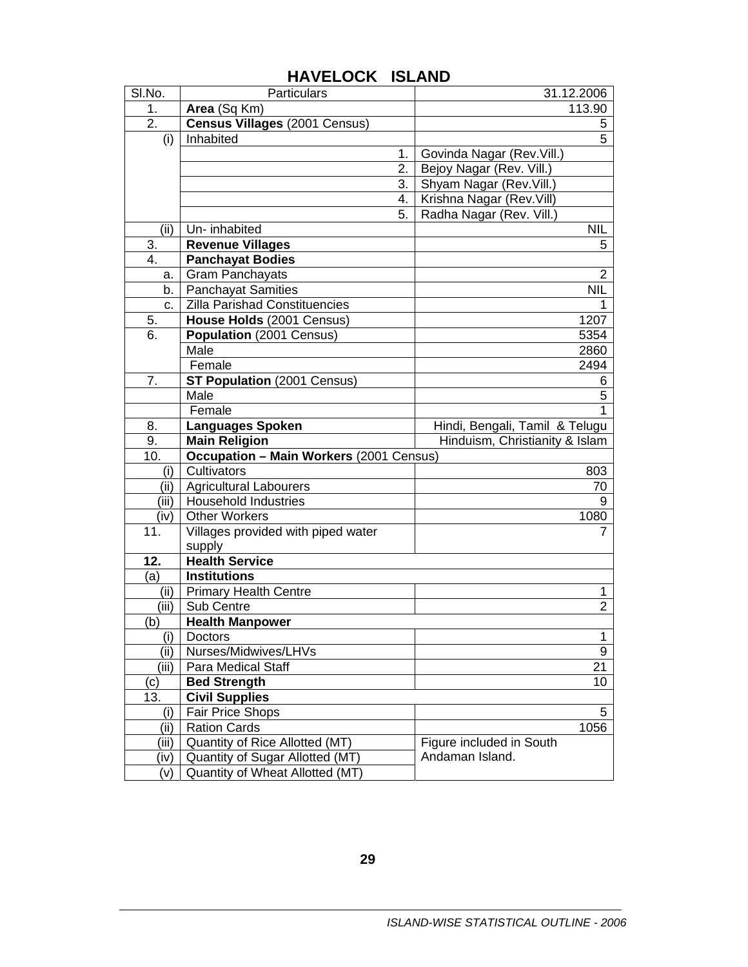| SI.No. | Particulars                                                        | 31.12.2006                     |  |
|--------|--------------------------------------------------------------------|--------------------------------|--|
| 1.     | Area (Sq Km)                                                       | 113.90                         |  |
| 2.     | Census Villages (2001 Census)                                      | 5                              |  |
| (i)    | Inhabited                                                          | 5                              |  |
|        | 1.                                                                 | Govinda Nagar (Rev. Vill.)     |  |
|        | 2.                                                                 | Bejoy Nagar (Rev. Vill.)       |  |
|        | 3.                                                                 | Shyam Nagar (Rev.Vill.)        |  |
|        | 4.                                                                 | Krishna Nagar (Rev. Vill)      |  |
|        | 5.                                                                 | Radha Nagar (Rev. Vill.)       |  |
| (ii)   | Un-inhabited                                                       | <b>NIL</b>                     |  |
| 3.     | <b>Revenue Villages</b>                                            | 5                              |  |
| 4.     | <b>Panchayat Bodies</b>                                            |                                |  |
| a.     | <b>Gram Panchayats</b>                                             | $\overline{2}$                 |  |
| b.     | <b>Panchayat Samities</b>                                          | <b>NIL</b>                     |  |
| C.     | Zilla Parishad Constituencies                                      | 1                              |  |
| 5.     | House Holds (2001 Census)                                          | 1207                           |  |
| 6.     | Population (2001 Census)                                           |                                |  |
|        | Male                                                               | 2860                           |  |
|        | Female                                                             | 2494                           |  |
| 7.     | <b>ST Population (2001 Census)</b>                                 | 6                              |  |
|        | Male                                                               | 5                              |  |
|        | Female                                                             |                                |  |
| 8.     | <b>Languages Spoken</b>                                            | Hindi, Bengali, Tamil & Telugu |  |
|        |                                                                    |                                |  |
| 9.     | <b>Main Religion</b>                                               | Hinduism, Christianity & Islam |  |
| 10.    | <b>Occupation - Main Workers (2001 Census)</b>                     |                                |  |
| (i)    | Cultivators                                                        | 803                            |  |
| (ii)   | <b>Agricultural Labourers</b>                                      | 70                             |  |
| (iii)  | <b>Household Industries</b>                                        | 9                              |  |
| (iv)   | <b>Other Workers</b>                                               | 1080                           |  |
| 11.    | Villages provided with piped water                                 | 7                              |  |
|        | supply                                                             |                                |  |
| 12.    | <b>Health Service</b>                                              |                                |  |
| (a)    | <b>Institutions</b>                                                |                                |  |
| (ii)   | <b>Primary Health Centre</b>                                       | 1                              |  |
| (iii)  | Sub Centre                                                         | $\overline{2}$                 |  |
| (b)    | <b>Health Manpower</b>                                             |                                |  |
| (i)    | <b>Doctors</b>                                                     | $\overline{A}$                 |  |
| (ii)   | Nurses/Midwives/LHVs                                               | 9                              |  |
| (iii)  | Para Medical Staff                                                 | 21                             |  |
| (c)    | <b>Bed Strength</b>                                                | 10                             |  |
| 13.    | <b>Civil Supplies</b>                                              |                                |  |
| (i)    | <b>Fair Price Shops</b>                                            | 5                              |  |
| (ii)   | <b>Ration Cards</b>                                                | 1056                           |  |
| (iii)  | Quantity of Rice Allotted (MT)                                     | Figure included in South       |  |
| (iv)   | Quantity of Sugar Allotted (MT)<br>Quantity of Wheat Allotted (MT) | Andaman Island.                |  |

## **HAVELOCK ISLAND**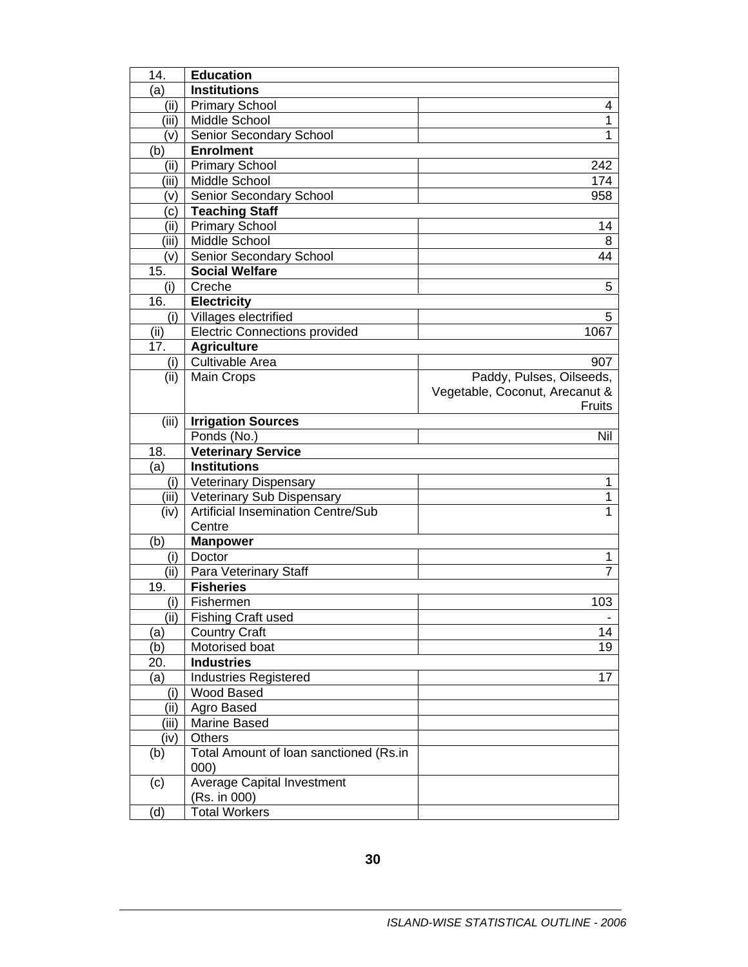| 14.   | <b>Education</b>                          |                                |
|-------|-------------------------------------------|--------------------------------|
| (a)   | <b>Institutions</b>                       |                                |
| (ii)  | <b>Primary School</b>                     | 4                              |
| (iii) | Middle School                             | $\mathbf{1}$                   |
| (v)   | Senior Secondary School                   | 1                              |
| (b)   | <b>Enrolment</b>                          |                                |
| (ii)  | <b>Primary School</b>                     | 242                            |
| (iii) | Middle School                             | 174                            |
| (v)   | Senior Secondary School                   | 958                            |
| (C)   | <b>Teaching Staff</b>                     |                                |
| (ii)  | <b>Primary School</b>                     | 14                             |
| (iii) | <b>Middle School</b>                      | 8                              |
| (v)   | Senior Secondary School                   | 44                             |
| 15.   | <b>Social Welfare</b>                     |                                |
| (i)   | Creche                                    | 5                              |
| 16.   | <b>Electricity</b>                        |                                |
| (i)   | Villages electrified                      | 5                              |
| (ii)  | <b>Electric Connections provided</b>      | 1067                           |
| 17.   | <b>Agriculture</b>                        |                                |
| (i)   | Cultivable Area                           | 907                            |
| (ii)  | <b>Main Crops</b>                         | Paddy, Pulses, Oilseeds,       |
|       |                                           | Vegetable, Coconut, Arecanut & |
|       |                                           | <b>Fruits</b>                  |
| (iii) | <b>Irrigation Sources</b>                 |                                |
|       | Ponds (No.)                               | Nil                            |
|       |                                           |                                |
| 18.   | <b>Veterinary Service</b>                 |                                |
| (a)   | <b>Institutions</b>                       |                                |
| (i)   | <b>Veterinary Dispensary</b>              | 1                              |
| (iii) | <b>Veterinary Sub Dispensary</b>          | 1                              |
| (iv)  | <b>Artificial Insemination Centre/Sub</b> |                                |
|       | Centre                                    |                                |
| (b)   | <b>Manpower</b>                           |                                |
| (i)   | Doctor                                    | 1                              |
| (ii)  | Para Veterinary Staff                     | 7                              |
| 19.   | <b>Fisheries</b>                          |                                |
| (i)   | Fishermen                                 | 103                            |
| (ii)  | <b>Fishing Craft used</b>                 | ٠                              |
| (a)   | <b>Country Craft</b>                      | 14                             |
| (b)   | Motorised boat                            | 19                             |
| 20.   | <b>Industries</b>                         |                                |
| (a)   | <b>Industries Registered</b>              | 17                             |
| (i)   | Wood Based                                |                                |
| (iii) | Agro Based                                |                                |
| (iii) | Marine Based                              |                                |
| (iv)  | <b>Others</b>                             |                                |
| (b)   | Total Amount of Ioan sanctioned (Rs.in    |                                |
|       | 000)                                      |                                |
| (c)   | <b>Average Capital Investment</b>         |                                |
| (d)   | (Rs. in 000)<br><b>Total Workers</b>      |                                |